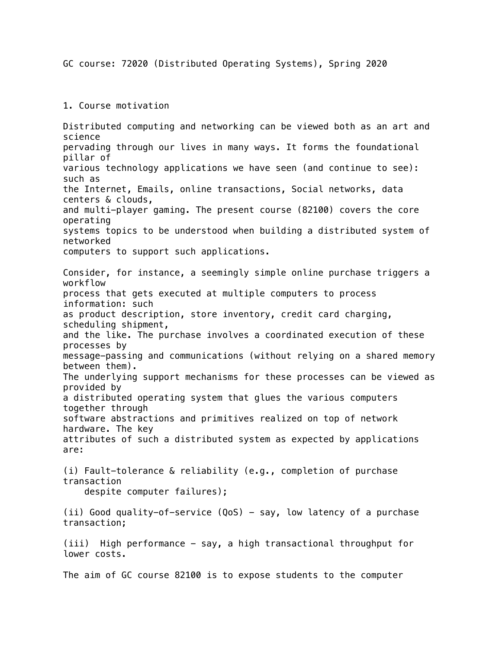GC course: 72020 (Distributed Operating Systems), Spring 2020

## 1. Course motivation

Distributed computing and networking can be viewed both as an art and science pervading through our lives in many ways. It forms the foundational pillar of various technology applications we have seen (and continue to see): such as the Internet, Emails, online transactions, Social networks, data centers & clouds, and multi-player gaming. The present course (82100) covers the core operating systems topics to be understood when building a distributed system of networked computers to support such applications. Consider, for instance, a seemingly simple online purchase triggers a workflow process that gets executed at multiple computers to process information: such as product description, store inventory, credit card charging, scheduling shipment, and the like. The purchase involves a coordinated execution of these processes by message-passing and communications (without relying on a shared memory between them). The underlying support mechanisms for these processes can be viewed as provided by a distributed operating system that glues the various computers together through software abstractions and primitives realized on top of network hardware. The key attributes of such a distributed system as expected by applications are: (i) Fault-tolerance & reliability (e.g., completion of purchase transaction despite computer failures); (ii) Good quality-of-service  $(QoS)$  - say, low latency of a purchase transaction; (iii) High performance - say, a high transactional throughput for lower costs. The aim of GC course 82100 is to expose students to the computer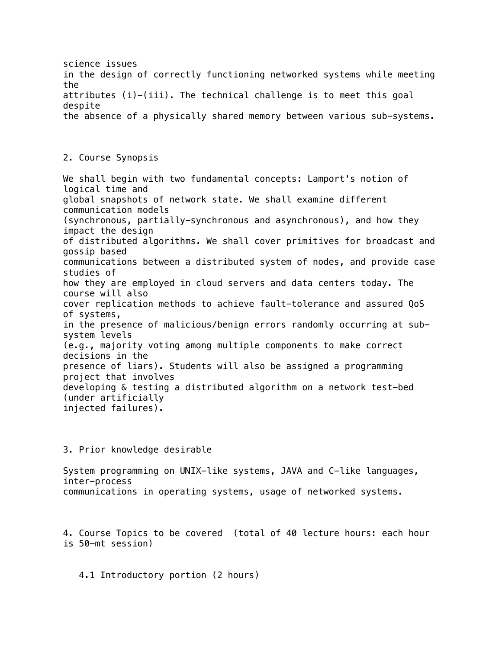science issues in the design of correctly functioning networked systems while meeting the attributes  $(i)-(iii)$ . The technical challenge is to meet this goal despite the absence of a physically shared memory between various sub-systems. 2. Course Synopsis We shall begin with two fundamental concepts: Lamport's notion of logical time and global snapshots of network state. We shall examine different communication models (synchronous, partially-synchronous and asynchronous), and how they impact the design of distributed algorithms. We shall cover primitives for broadcast and gossip based communications between a distributed system of nodes, and provide case studies of how they are employed in cloud servers and data centers today. The course will also cover replication methods to achieve fault-tolerance and assured QoS of systems, in the presence of malicious/benign errors randomly occurring at subsystem levels (e.g., majority voting among multiple components to make correct decisions in the presence of liars). Students will also be assigned a programming project that involves developing & testing a distributed algorithm on a network test-bed (under artificially injected failures).

3. Prior knowledge desirable

System programming on UNIX-like systems, JAVA and C-like languages, inter-process communications in operating systems, usage of networked systems.

4. Course Topics to be covered (total of 40 lecture hours: each hour is 50-mt session)

4.1 Introductory portion (2 hours)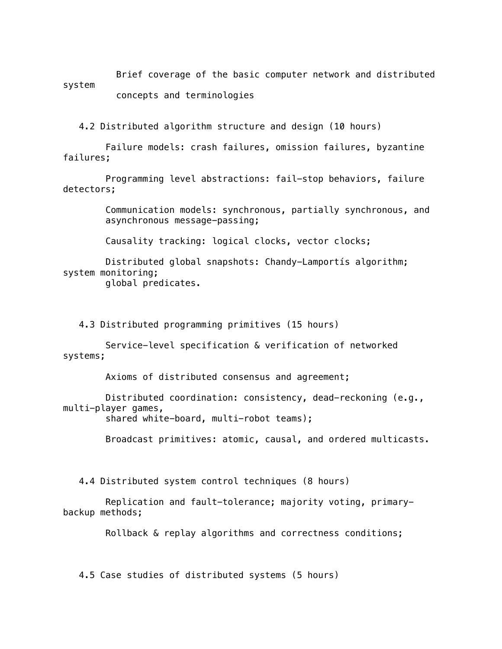Brief coverage of the basic computer network and distributed system concepts and terminologies

4.2 Distributed algorithm structure and design (10 hours)

 Failure models: crash failures, omission failures, byzantine failures;

 Programming level abstractions: fail-stop behaviors, failure detectors;

> Communication models: synchronous, partially synchronous, and asynchronous message-passing;

Causality tracking: logical clocks, vector clocks;

 Distributed global snapshots: Chandy-Lamportís algorithm; system monitoring; global predicates.

4.3 Distributed programming primitives (15 hours)

 Service-level specification & verification of networked systems;

Axioms of distributed consensus and agreement;

 Distributed coordination: consistency, dead-reckoning (e.g., multi-player games,

shared white-board, multi-robot teams);

Broadcast primitives: atomic, causal, and ordered multicasts.

4.4 Distributed system control techniques (8 hours)

 Replication and fault-tolerance; majority voting, primarybackup methods;

Rollback & replay algorithms and correctness conditions;

4.5 Case studies of distributed systems (5 hours)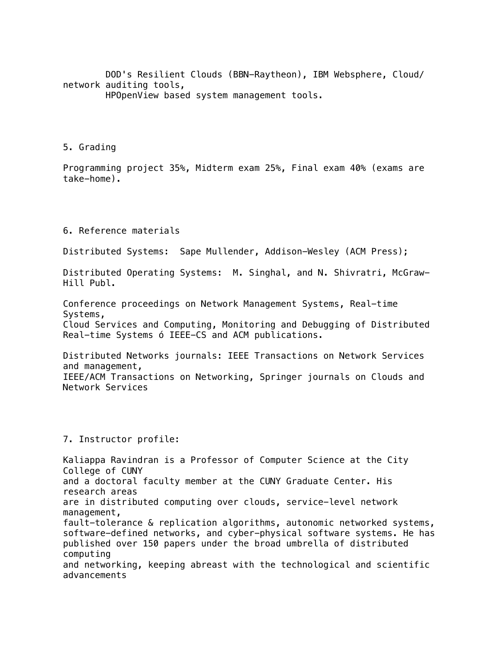DOD's Resilient Clouds (BBN-Raytheon), IBM Websphere, Cloud/ network auditing tools, HPOpenView based system management tools.

5. Grading

Programming project 35%, Midterm exam 25%, Final exam 40% (exams are take-home).

6. Reference materials

Distributed Systems: Sape Mullender, Addison-Wesley (ACM Press);

Distributed Operating Systems: M. Singhal, and N. Shivratri, McGraw-Hill Publ.

Conference proceedings on Network Management Systems, Real-time Systems,

Cloud Services and Computing, Monitoring and Debugging of Distributed Real-time Systems ó IEEE-CS and ACM publications.

Distributed Networks journals: IEEE Transactions on Network Services and management, IEEE/ACM Transactions on Networking, Springer journals on Clouds and Network Services

## 7. Instructor profile:

Kaliappa Ravindran is a Professor of Computer Science at the City College of CUNY and a doctoral faculty member at the CUNY Graduate Center. His research areas are in distributed computing over clouds, service-level network management, fault-tolerance & replication algorithms, autonomic networked systems, software-defined networks, and cyber-physical software systems. He has published over 150 papers under the broad umbrella of distributed computing and networking, keeping abreast with the technological and scientific advancements